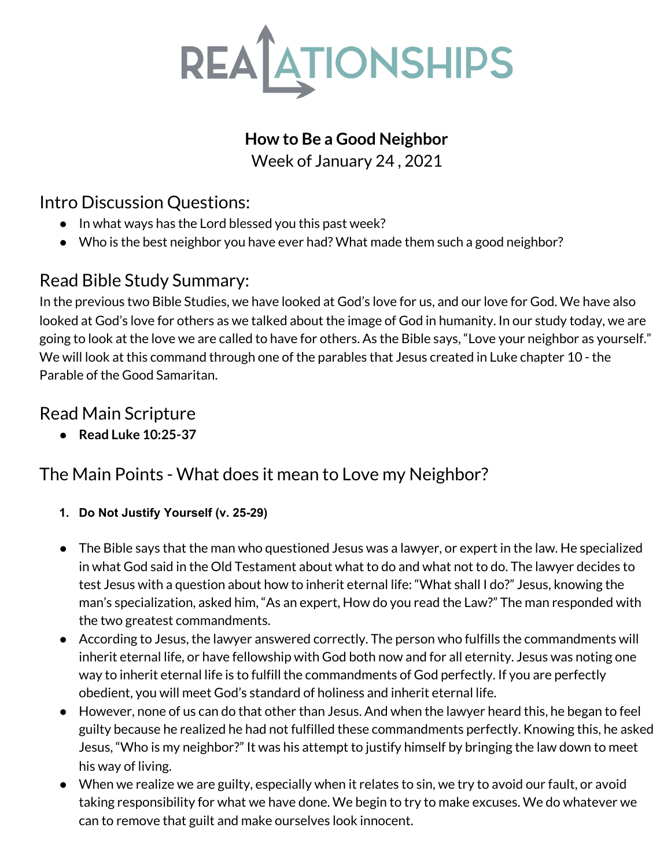

### **How to Be a Good Neighbor**

Week of January 24 , 2021

## Intro Discussion Questions:

- *●* In what ways has the Lord blessed you this past week?
- *●* Who is the best neighbor you have ever had? What made them such a good neighbor?

# Read Bible Study Summary:

In the previous two Bible Studies, we have looked at God's love for us, and our love for God. We have also looked at God's love for others as we talked about the image of God in humanity. In our study today, we are going to look at the love we are called to have for others. As the Bible says, "Love your neighbor as yourself." We will look at this command through one of the parables that Jesus created in Luke chapter 10 - the Parable of the Good Samaritan.

## Read Main Scripture

**● Read Luke 10:25-37**

# The Main Points - What does it mean to Love my Neighbor?

- **1. Do Not Justify Yourself (v. 25-29)**
- The Bible says that the man who questioned Jesus was a lawyer, or expert in the law. He specialized in what God said in the Old Testament about what to do and what not to do. The lawyer decides to test Jesus with a question about how to inherit eternal life: "What shall I do?" Jesus, knowing the man's specialization, asked him, "As an expert, How do you read the Law?" The man responded with the two greatest commandments.
- According to Jesus, the lawyer answered correctly. The person who fulfills the commandments will inherit eternal life, or have fellowship with God both now and for all eternity. Jesus was noting one way to inherit eternal life is to fulfill the commandments of God perfectly. If you are perfectly obedient, you will meet God's standard of holiness and inherit eternal life.
- However, none of us can do that other than Jesus. And when the lawyer heard this, he began to feel guilty because he realized he had not fulfilled these commandments perfectly. Knowing this, he asked Jesus, "Who is my neighbor?" It was his attempt to justify himself by bringing the law down to meet his way of living.
- When we realize we are guilty, especially when it relates to sin, we try to avoid our fault, or avoid taking responsibility for what we have done. We begin to try to make excuses. We do whatever we can to remove that guilt and make ourselves look innocent.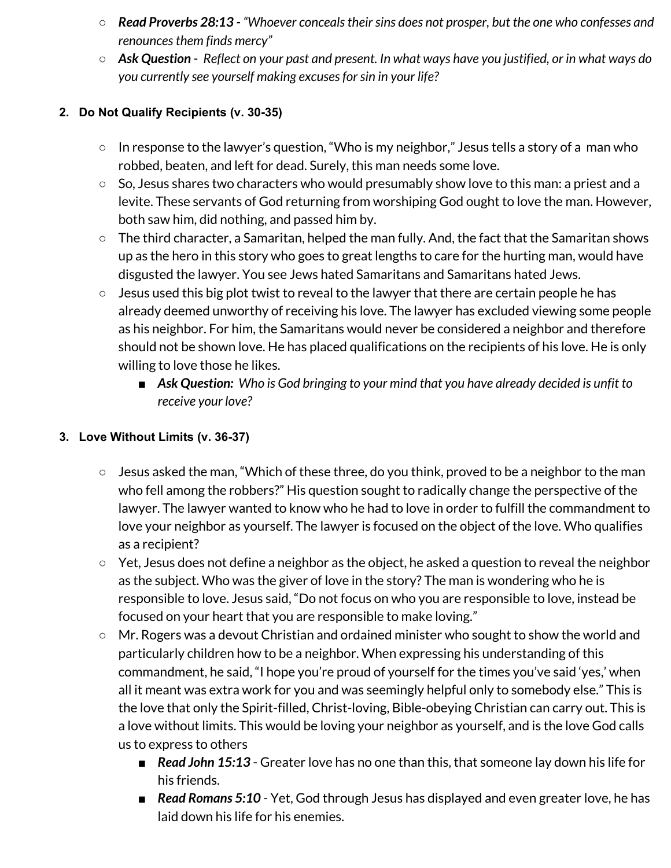- *Read Proverbs 28:13 - "Whoever concealstheirsins does not prosper, but the one who confesses and renounces them finds mercy*"
- $\circ$  Ask Question Reflect on your past and present. In what ways have you justified, or in what ways do *you currently see yourself making excusesforsin in your life?*

#### **2. Do Not Qualify Recipients (v. 30-35)**

- In response to the lawyer's question, "Who is my neighbor," Jesus tells a story of a man who robbed, beaten, and left for dead. Surely, this man needs some love.
- So, Jesus shares two characters who would presumably show love to this man: a priest and a levite. These servants of God returning from worshiping God ought to love the man. However, both saw him, did nothing, and passed him by.
- The third character, a Samaritan, helped the man fully. And, the fact that the Samaritan shows up as the hero in this story who goes to great lengths to care for the hurting man, would have disgusted the lawyer. You see Jews hated Samaritans and Samaritans hated Jews.
- Jesus used this big plot twist to reveal to the lawyer that there are certain people he has already deemed unworthy of receiving his love. The lawyer has excluded viewing some people as his neighbor. For him, the Samaritans would never be considered a neighbor and therefore should not be shown love. He has placed qualifications on the recipients of his love. He is only willing to love those he likes.
	- *■ Ask Question: Who is God bringing to your mind that you have already decided is unfit to receive your love?*

#### **3. Love Without Limits (v. 36-37)**

- Jesus asked the man, "Which of these three, do you think, proved to be a neighbor to the man who fell among the robbers?" His question sought to radically change the perspective of the lawyer. The lawyer wanted to know who he had to love in order to fulfill the commandment to love your neighbor as yourself. The lawyer is focused on the object of the love. Who qualifies as a recipient?
- Yet, Jesus does not define a neighbor as the object, he asked a question to reveal the neighbor as the subject. Who was the giver of love in the story? The man is wondering who he is responsible to love. Jesus said, "Do not focus on who you are responsible to love, instead be focused on your heart that you are responsible to make loving."
- Mr. Rogers was a devout Christian and ordained minister who sought to show the world and particularly children how to be a neighbor. When expressing his understanding of this commandment, he said, "I hope you're proud of yourself for the times you've said 'yes,' when all it meant was extra work for you and was seemingly helpful only to somebody else." This is the love that only the Spirit-filled, Christ-loving, Bible-obeying Christian can carry out. This is a love without limits. This would be loving your neighbor as yourself, and is the love God calls us to express to others
	- *Read John 15:13* Greater love has no one than this, that someone lay down his life for his friends.
	- *Read Romans* 5:10 Yet, God through Jesus has displayed and even greater love, he has laid down his life for his enemies.